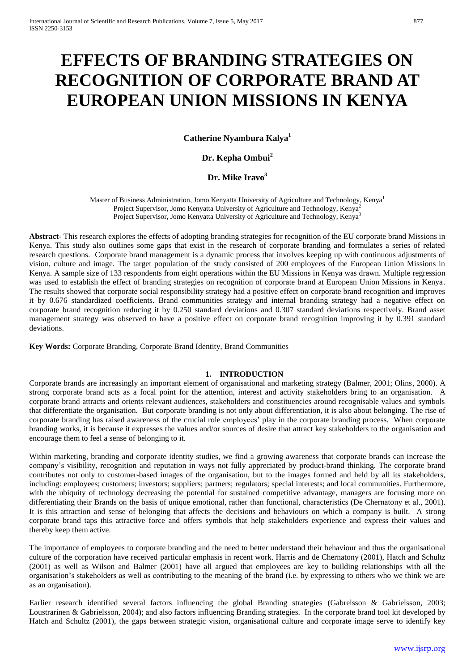# **EFFECTS OF BRANDING STRATEGIES ON RECOGNITION OF CORPORATE BRAND AT EUROPEAN UNION MISSIONS IN KENYA**

**Catherine Nyambura Kalya<sup>1</sup>**

# **Dr. Kepha Ombui<sup>2</sup>**

# **Dr. Mike Iravo<sup>3</sup>**

Master of Business Administration, Jomo Kenyatta University of Agriculture and Technology, Kenya<sup>1</sup> Project Supervisor, Jomo Kenyatta University of Agriculture and Technology, Kenya<sup>2</sup> Project Supervisor, Jomo Kenyatta University of Agriculture and Technology, Kenya<sup>3</sup>

**Abstract**- This research explores the effects of adopting branding strategies for recognition of the EU corporate brand Missions in Kenya. This study also outlines some gaps that exist in the research of corporate branding and formulates a series of related research questions. Corporate brand management is a dynamic process that involves keeping up with continuous adjustments of vision, culture and image. The target population of the study consisted of 200 employees of the European Union Missions in Kenya. A sample size of 133 respondents from eight operations within the EU Missions in Kenya was drawn. Multiple regression was used to establish the effect of branding strategies on recognition of corporate brand at European Union Missions in Kenya. The results showed that corporate social responsibility strategy had a positive effect on corporate brand recognition and improves it by 0.676 standardized coefficients. Brand communities strategy and internal branding strategy had a negative effect on corporate brand recognition reducing it by 0.250 standard deviations and 0.307 standard deviations respectively. Brand asset management strategy was observed to have a positive effect on corporate brand recognition improving it by 0.391 standard deviations.

**Key Words:** Corporate Branding, Corporate Brand Identity, Brand Communities

### **1. INTRODUCTION**

Corporate brands are increasingly an important element of organisational and marketing strategy (Balmer, 2001; Olins, 2000). A strong corporate brand acts as a focal point for the attention, interest and activity stakeholders bring to an organisation. A corporate brand attracts and orients relevant audiences, stakeholders and constituencies around recognisable values and symbols that differentiate the organisation. But corporate branding is not only about differentiation, it is also about belonging. The rise of corporate branding has raised awareness of the crucial role employees' play in the corporate branding process. When corporate branding works, it is because it expresses the values and/or sources of desire that attract key stakeholders to the organisation and encourage them to feel a sense of belonging to it.

Within marketing, branding and corporate identity studies, we find a growing awareness that corporate brands can increase the company's visibility, recognition and reputation in ways not fully appreciated by product-brand thinking. The corporate brand contributes not only to customer-based images of the organisation, but to the images formed and held by all its stakeholders, including: employees; customers; investors; suppliers; partners; regulators; special interests; and local communities. Furthermore, with the ubiquity of technology decreasing the potential for sustained competitive advantage, managers are focusing more on differentiating their Brands on the basis of unique emotional, rather than functional, characteristics (De Chernatony et al., 2001). It is this attraction and sense of belonging that affects the decisions and behaviours on which a company is built. A strong corporate brand taps this attractive force and offers symbols that help stakeholders experience and express their values and thereby keep them active.

The importance of employees to corporate branding and the need to better understand their behaviour and thus the organisational culture of the corporation have received particular emphasis in recent work. Harris and de Chernatony (2001), Hatch and Schultz (2001) as well as Wilson and Balmer (2001) have all argued that employees are key to building relationships with all the organisation's stakeholders as well as contributing to the meaning of the brand (i.e. by expressing to others who we think we are as an organisation).

Earlier research identified several factors influencing the global Branding strategies (Gabrelsson & Gabrielsson, 2003; Loustrarinen & Gabrielsson, 2004); and also factors influencing Branding strategies. In the corporate brand tool kit developed by Hatch and Schultz (2001), the gaps between strategic vision, organisational culture and corporate image serve to identify key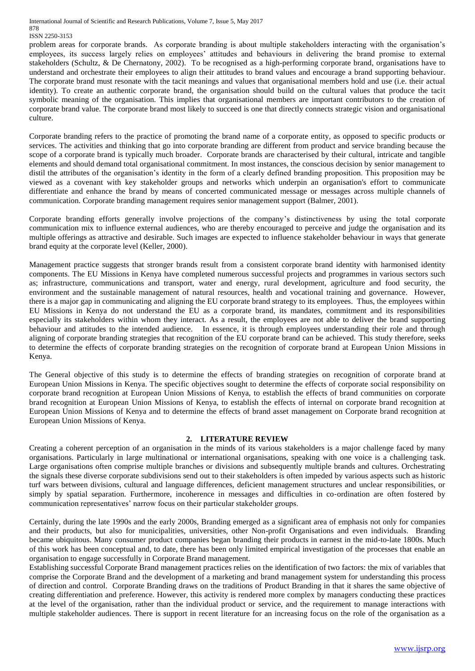#### ISSN 2250-3153

problem areas for corporate brands. As corporate branding is about multiple stakeholders interacting with the organisation's employees, its success largely relies on employees' attitudes and behaviours in delivering the brand promise to external stakeholders (Schultz, & De Chernatony, 2002). To be recognised as a high-performing corporate brand, organisations have to understand and orchestrate their employees to align their attitudes to brand values and encourage a brand supporting behaviour. The corporate brand must resonate with the tacit meanings and values that organisational members hold and use (i.e. their actual identity). To create an authentic corporate brand, the organisation should build on the cultural values that produce the tacit symbolic meaning of the organisation. This implies that organisational members are important contributors to the creation of corporate brand value. The corporate brand most likely to succeed is one that directly connects strategic vision and organisational culture.

Corporate branding refers to the practice of promoting the brand name of a corporate entity, as opposed to specific products or services. The activities and thinking that go into corporate branding are different from product and service branding because the scope of a corporate brand is typically much broader. Corporate brands are characterised by their cultural, intricate and tangible elements and should demand total organisational commitment. In most instances, the conscious decision by senior management to distil the attributes of the organisation's identity in the form of a clearly defined branding proposition. This proposition may be viewed as a covenant with key stakeholder groups and networks which underpin an organisation's effort to communicate differentiate and enhance the brand by means of concerted communicated message or messages across multiple channels of communication. Corporate branding management requires senior management support (Balmer, 2001).

Corporate branding efforts generally involve projections of the company's distinctiveness by using the total corporate communication mix to influence external audiences, who are thereby encouraged to perceive and judge the organisation and its multiple offerings as attractive and desirable. Such images are expected to influence stakeholder behaviour in ways that generate brand equity at the corporate level (Keller, 2000).

Management practice suggests that stronger brands result from a consistent corporate brand identity with harmonised identity components. The EU Missions in Kenya have completed numerous successful projects and programmes in various sectors such as; infrastructure, communications and transport, water and energy, rural development, agriculture and food security, the environment and the sustainable management of natural resources, health and vocational training and governance. However, there is a major gap in communicating and aligning the EU corporate brand strategy to its employees. Thus, the employees within EU Missions in Kenya do not understand the EU as a corporate brand, its mandates, commitment and its responsibilities especially its stakeholders within whom they interact. As a result, the employees are not able to deliver the brand supporting behaviour and attitudes to the intended audience. In essence, it is through employees understanding their role and through aligning of corporate branding strategies that recognition of the EU corporate brand can be achieved. This study therefore, seeks to determine the effects of corporate branding strategies on the recognition of corporate brand at European Union Missions in Kenya.

The General objective of this study is to determine the effects of branding strategies on recognition of corporate brand at European Union Missions in Kenya. The specific objectives sought to determine the effects of corporate social responsibility on corporate brand recognition at European Union Missions of Kenya, to establish the effects of brand communities on corporate brand recognition at European Union Missions of Kenya, to establish the effects of internal on corporate brand recognition at European Union Missions of Kenya and to determine the effects of brand asset management on Corporate brand recognition at European Union Missions of Kenya.

### **2. LITERATURE REVIEW**

Creating a coherent perception of an organisation in the minds of its various stakeholders is a major challenge faced by many organisations. Particularly in large multinational or international organisations, speaking with one voice is a challenging task. Large organisations often comprise multiple branches or divisions and subsequently multiple brands and cultures. Orchestrating the signals these diverse corporate subdivisions send out to their stakeholders is often impeded by various aspects such as historic turf wars between divisions, cultural and language differences, deficient management structures and unclear responsibilities, or simply by spatial separation. Furthermore, incoherence in messages and difficulties in co-ordination are often fostered by communication representatives' narrow focus on their particular stakeholder groups.

Certainly, during the late 1990s and the early 2000s, Branding emerged as a significant area of emphasis not only for companies and their products, but also for municipalities, universities, other Non-profit Organisations and even individuals. Branding became ubiquitous. Many consumer product companies began branding their products in earnest in the mid-to-late 1800s. Much of this work has been conceptual and, to date, there has been only limited empirical investigation of the processes that enable an organisation to engage successfully in Corporate Brand management.

Establishing successful Corporate Brand management practices relies on the identification of two factors: the mix of variables that comprise the Corporate Brand and the development of a marketing and brand management system for understanding this process of direction and control. Corporate Branding draws on the traditions of Product Branding in that it shares the same objective of creating differentiation and preference. However, this activity is rendered more complex by managers conducting these practices at the level of the organisation, rather than the individual product or service, and the requirement to manage interactions with multiple stakeholder audiences. There is support in recent literature for an increasing focus on the role of the organisation as a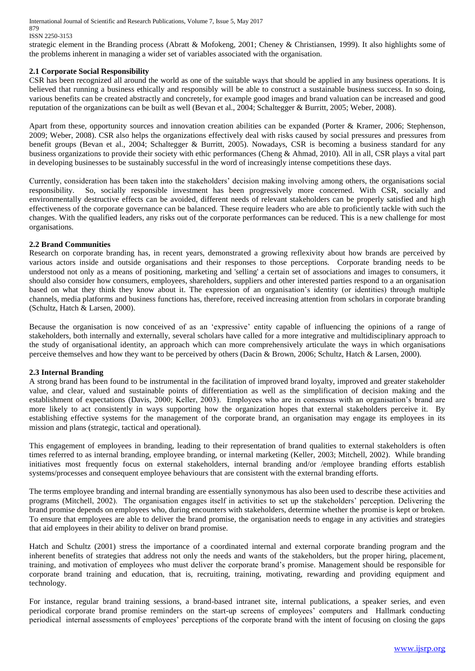strategic element in the Branding process (Abratt & Mofokeng, 2001; Cheney & Christiansen, 1999). It also highlights some of the problems inherent in managing a wider set of variables associated with the organisation.

# **2.1 Corporate Social Responsibility**

CSR has been recognized all around the world as one of the suitable ways that should be applied in any business operations. It is believed that running a business ethically and responsibly will be able to construct a sustainable business success. In so doing, various benefits can be created abstractly and concretely, for example good images and brand valuation can be increased and good reputation of the organizations can be built as well (Bevan et al., 2004; Schaltegger & Burritt, 2005; Weber, 2008).

Apart from these, opportunity sources and innovation creation abilities can be expanded (Porter & Kramer, 2006; Stephenson, 2009; Weber, 2008). CSR also helps the organizations effectively deal with risks caused by social pressures and pressures from benefit groups (Bevan et al., 2004; Schaltegger & Burritt, 2005). Nowadays, CSR is becoming a business standard for any business organizations to provide their society with ethic performances (Cheng & Ahmad, 2010). All in all, CSR plays a vital part in developing businesses to be sustainably successful in the word of increasingly intense competitions these days.

Currently, consideration has been taken into the stakeholders' decision making involving among others, the organisations social responsibility. So, socially responsible investment has been progressively more concerned. With CSR, socially and environmentally destructive effects can be avoided, different needs of relevant stakeholders can be properly satisfied and high effectiveness of the corporate governance can be balanced. These require leaders who are able to proficiently tackle with such the changes. With the qualified leaders, any risks out of the corporate performances can be reduced. This is a new challenge for most organisations.

### **2.2 Brand Communities**

Research on corporate branding has, in recent years, demonstrated a growing reflexivity about how brands are perceived by various actors inside and outside organisations and their responses to those perceptions. Corporate branding needs to be understood not only as a means of positioning, marketing and 'selling' a certain set of associations and images to consumers, it should also consider how consumers, employees, shareholders, suppliers and other interested parties respond to a an organisation based on what they think they know about it. The expression of an organisation's identity (or identities) through multiple channels, media platforms and business functions has, therefore, received increasing attention from scholars in corporate branding (Schultz, Hatch & Larsen, 2000).

Because the organisation is now conceived of as an 'expressive' entity capable of influencing the opinions of a range of stakeholders, both internally and externally, several scholars have called for a more integrative and multidisciplinary approach to the study of organisational identity, an approach which can more comprehensively articulate the ways in which organisations perceive themselves and how they want to be perceived by others (Dacin & Brown, 2006; Schultz, Hatch & Larsen, 2000).

### **2.3 Internal Branding**

A strong brand has been found to be instrumental in the facilitation of improved brand loyalty, improved and greater stakeholder value, and clear, valued and sustainable points of differentiation as well as the simplification of decision making and the establishment of expectations (Davis, 2000; Keller, 2003). Employees who are in consensus with an organisation's brand are more likely to act consistently in ways supporting how the organization hopes that external stakeholders perceive it. By establishing effective systems for the management of the corporate brand, an organisation may engage its employees in its mission and plans (strategic, tactical and operational).

This engagement of employees in branding, leading to their representation of brand qualities to external stakeholders is often times referred to as internal branding, employee branding, or internal marketing (Keller, 2003; Mitchell, 2002). While branding initiatives most frequently focus on external stakeholders, internal branding and/or /employee branding efforts establish systems/processes and consequent employee behaviours that are consistent with the external branding efforts.

The terms employee branding and internal branding are essentially synonymous has also been used to describe these activities and programs (Mitchell, 2002). The organisation engages itself in activities to set up the stakeholders' perception. Delivering the brand promise depends on employees who, during encounters with stakeholders, determine whether the promise is kept or broken. To ensure that employees are able to deliver the brand promise, the organisation needs to engage in any activities and strategies that aid employees in their ability to deliver on brand promise.

Hatch and Schultz (2001) stress the importance of a coordinated internal and external corporate branding program and the inherent benefits of strategies that address not only the needs and wants of the stakeholders, but the proper hiring, placement, training, and motivation of employees who must deliver the corporate brand's promise. Management should be responsible for corporate brand training and education, that is, recruiting, training, motivating, rewarding and providing equipment and technology.

For instance, regular brand training sessions, a brand-based intranet site, internal publications, a speaker series, and even periodical corporate brand promise reminders on the start-up screens of employees' computers and Hallmark conducting periodical internal assessments of employees' perceptions of the corporate brand with the intent of focusing on closing the gaps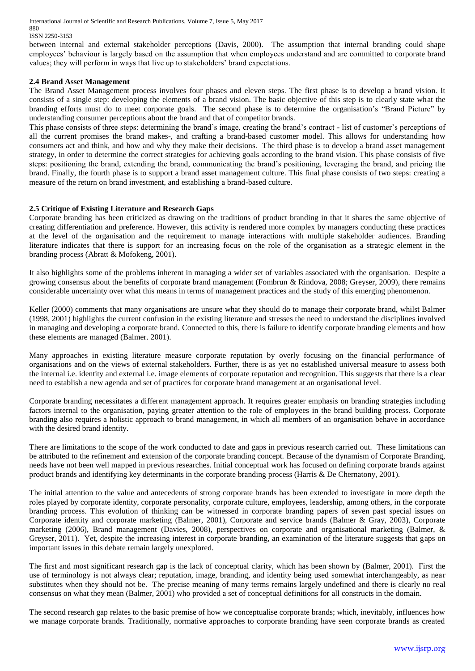#### 880 ISSN 2250-3153

between internal and external stakeholder perceptions (Davis, 2000). The assumption that internal branding could shape employees' behaviour is largely based on the assumption that when employees understand and are committed to corporate brand values; they will perform in ways that live up to stakeholders' brand expectations.

#### **2.4 Brand Asset Management**

The Brand Asset Management process involves four phases and eleven steps. The first phase is to develop a brand vision. It consists of a single step: developing the elements of a brand vision. The basic objective of this step is to clearly state what the branding efforts must do to meet corporate goals. The second phase is to determine the organisation's "Brand Picture" by understanding consumer perceptions about the brand and that of competitor brands.

This phase consists of three steps: determining the brand's image, creating the brand's contract - list of customer's perceptions of all the current promises the brand makes-, and crafting a brand-based customer model. This allows for understanding how consumers act and think, and how and why they make their decisions. The third phase is to develop a brand asset management strategy, in order to determine the correct strategies for achieving goals according to the brand vision. This phase consists of five steps: positioning the brand, extending the brand, communicating the brand's positioning, leveraging the brand, and pricing the brand. Finally, the fourth phase is to support a brand asset management culture. This final phase consists of two steps: creating a measure of the return on brand investment, and establishing a brand-based culture.

### **2.5 Critique of Existing Literature and Research Gaps**

Corporate branding has been criticized as drawing on the traditions of product branding in that it shares the same objective of creating differentiation and preference. However, this activity is rendered more complex by managers conducting these practices at the level of the organisation and the requirement to manage interactions with multiple stakeholder audiences. Branding literature indicates that there is support for an increasing focus on the role of the organisation as a strategic element in the branding process (Abratt & Mofokeng, 2001).

It also highlights some of the problems inherent in managing a wider set of variables associated with the organisation. Despite a growing consensus about the benefits of corporate brand management (Fombrun & Rindova, 2008; Greyser, 2009), there remains considerable uncertainty over what this means in terms of management practices and the study of this emerging phenomenon.

Keller (2000) comments that many organisations are unsure what they should do to manage their corporate brand, whilst Balmer (1998, 2001) highlights the current confusion in the existing literature and stresses the need to understand the disciplines involved in managing and developing a corporate brand. Connected to this, there is failure to identify corporate branding elements and how these elements are managed (Balmer. 2001).

Many approaches in existing literature measure corporate reputation by overly focusing on the financial performance of organisations and on the views of external stakeholders. Further, there is as yet no established universal measure to assess both the internal i.e. identity and external i.e. image elements of corporate reputation and recognition. This suggests that there is a clear need to establish a new agenda and set of practices for corporate brand management at an organisational level.

Corporate branding necessitates a different management approach. It requires greater emphasis on branding strategies including factors internal to the organisation, paying greater attention to the role of employees in the brand building process. Corporate branding also requires a holistic approach to brand management, in which all members of an organisation behave in accordance with the desired brand identity.

There are limitations to the scope of the work conducted to date and gaps in previous research carried out. These limitations can be attributed to the refinement and extension of the corporate branding concept. Because of the dynamism of Corporate Branding, needs have not been well mapped in previous researches. Initial conceptual work has focused on defining corporate brands against product brands and identifying key determinants in the corporate branding process (Harris & De Chernatony, 2001).

The initial attention to the value and antecedents of strong corporate brands has been extended to investigate in more depth the roles played by corporate identity, corporate personality, corporate culture, employees, leadership, among others, in the corporate branding process. This evolution of thinking can be witnessed in corporate branding papers of seven past special issues on Corporate identity and corporate marketing (Balmer, 2001), Corporate and service brands (Balmer & Gray, 2003), Corporate marketing (2006), Brand management (Davies, 2008), perspectives on corporate and organisational marketing (Balmer, & Greyser, 2011). Yet, despite the increasing interest in corporate branding, an examination of the literature suggests that gaps on important issues in this debate remain largely unexplored.

The first and most significant research gap is the lack of conceptual clarity, which has been shown by (Balmer, 2001). First the use of terminology is not always clear; reputation, image, branding, and identity being used somewhat interchangeably, as near substitutes when they should not be. The precise meaning of many terms remains largely undefined and there is clearly no real consensus on what they mean (Balmer, 2001) who provided a set of conceptual definitions for all constructs in the domain.

The second research gap relates to the basic premise of how we conceptualise corporate brands; which, inevitably, influences how we manage corporate brands. Traditionally, normative approaches to corporate branding have seen corporate brands as created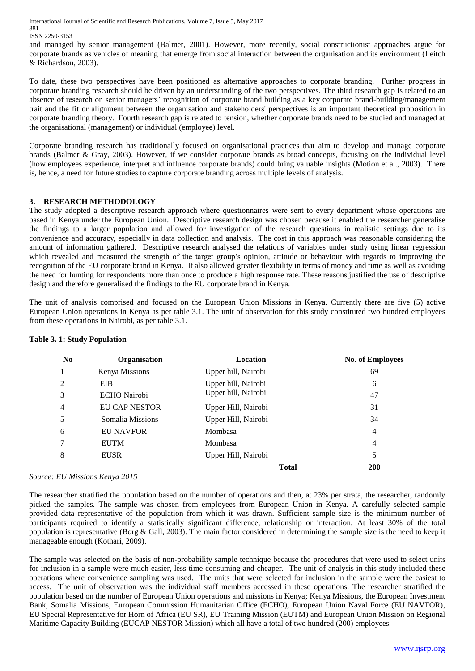and managed by senior management (Balmer, 2001). However, more recently, social constructionist approaches argue for corporate brands as vehicles of meaning that emerge from social interaction between the organisation and its environment (Leitch & Richardson, 2003).

To date, these two perspectives have been positioned as alternative approaches to corporate branding. Further progress in corporate branding research should be driven by an understanding of the two perspectives. The third research gap is related to an absence of research on senior managers' recognition of corporate brand building as a key corporate brand-building/management trait and the fit or alignment between the organisation and stakeholders' perspectives is an important theoretical proposition in corporate branding theory. Fourth research gap is related to tension, whether corporate brands need to be studied and managed at the organisational (management) or individual (employee) level.

Corporate branding research has traditionally focused on organisational practices that aim to develop and manage corporate brands (Balmer & Gray, 2003). However, if we consider corporate brands as broad concepts, focusing on the individual level (how employees experience, interpret and influence corporate brands) could bring valuable insights (Motion et al., 2003). There is, hence, a need for future studies to capture corporate branding across multiple levels of analysis.

# **3. RESEARCH METHODOLOGY**

The study adopted a descriptive research approach where questionnaires were sent to every department whose operations are based in Kenya under the European Union. Descriptive research design was chosen because it enabled the researcher generalise the findings to a larger population and allowed for investigation of the research questions in realistic settings due to its convenience and accuracy, especially in data collection and analysis. The cost in this approach was reasonable considering the amount of information gathered. Descriptive research analysed the relations of variables under study using linear regression which revealed and measured the strength of the target group's opinion, attitude or behaviour with regards to improving the recognition of the EU corporate brand in Kenya. It also allowed greater flexibility in terms of money and time as well as avoiding the need for hunting for respondents more than once to produce a high response rate. These reasons justified the use of descriptive design and therefore generalised the findings to the EU corporate brand in Kenya.

The unit of analysis comprised and focused on the European Union Missions in Kenya. Currently there are five (5) active European Union operations in Kenya as per table 3.1. The unit of observation for this study constituted two hundred employees from these operations in Nairobi, as per table 3.1.

| N <sub>0</sub>              | Organisation         | Location            | <b>No. of Employees</b> |
|-----------------------------|----------------------|---------------------|-------------------------|
|                             | Kenya Missions       | Upper hill, Nairobi | 69                      |
| $\mathcal{D}_{\mathcal{L}}$ | EIB                  | Upper hill, Nairobi | 6                       |
| 3                           | <b>ECHO</b> Nairobi  | Upper hill, Nairobi | 47                      |
| 4                           | <b>EU CAP NESTOR</b> | Upper Hill, Nairobi | 31                      |
|                             | Somalia Missions     | Upper Hill, Nairobi | 34                      |
| 6                           | <b>EU NAVFOR</b>     | Mombasa             | $\overline{4}$          |
|                             | <b>EUTM</b>          | Mombasa             | 4                       |
| 8                           | <b>EUSR</b>          | Upper Hill, Nairobi | 5                       |
|                             |                      | <b>Total</b>        | <b>200</b>              |

# **Table 3. 1: Study Population**

*Source: EU Missions Kenya 2015*

The researcher stratified the population based on the number of operations and then, at 23% per strata, the researcher, randomly picked the samples. The sample was chosen from employees from European Union in Kenya. A carefully selected sample provided data representative of the population from which it was drawn. Sufficient sample size is the minimum number of participants required to identify a statistically significant difference, relationship or interaction. At least 30% of the total population is representative (Borg & Gall, 2003). The main factor considered in determining the sample size is the need to keep it manageable enough (Kothari, 2009).

The sample was selected on the basis of non-probability sample technique because the procedures that were used to select units for inclusion in a sample were much easier, less time consuming and cheaper. The unit of analysis in this study included these operations where convenience sampling was used. The units that were selected for inclusion in the sample were the easiest to access. The unit of observation was the individual staff members accessed in these operations. The researcher stratified the population based on the number of European Union operations and missions in Kenya; Kenya Missions, the European Investment Bank, Somalia Missions, European Commission Humanitarian Office (ECHO), European Union Naval Force (EU NAVFOR), EU Special Representative for Horn of Africa (EU SR), EU Training Mission (EUTM) and European Union Mission on Regional Maritime Capacity Building (EUCAP NESTOR Mission) which all have a total of two hundred (200) employees.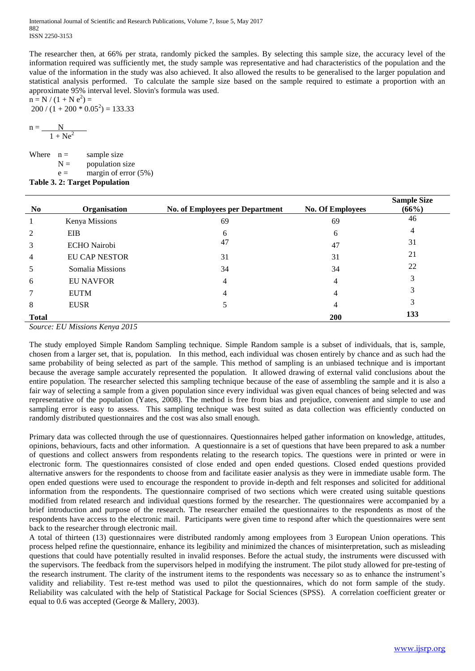The researcher then, at 66% per strata, randomly picked the samples. By selecting this sample size, the accuracy level of the information required was sufficiently met, the study sample was representative and had characteristics of the population and the value of the information in the study was also achieved. It also allowed the results to be generalised to the larger population and statistical analysis performed. To calculate the sample size based on the sample required to estimate a proportion with an approximate 95% interval level. Slovin's formula was used.

n = N / (1 + N e<sup>2</sup> ) = 200 / (1 + 200 \* 0.05<sup>2</sup> ) = 133.33

$$
n = \frac{N}{1 + Ne^2}
$$

Where  $n =$  sample size  $N =$  population size  $e =$  margin of error (5%)

**Table 3. 2: Target Population**

| N <sub>0</sub> | Organisation         | <b>No. of Employees per Department</b> | <b>No. Of Employees</b> | <b>Sample Size</b><br>(66%) |
|----------------|----------------------|----------------------------------------|-------------------------|-----------------------------|
|                | Kenya Missions       | 69                                     | 69                      | 46                          |
| 2              | EIB                  | 6                                      | 6                       | 4                           |
| 3              | <b>ECHO</b> Nairobi  | 47                                     | 47                      | 31                          |
| $\overline{4}$ | <b>EU CAP NESTOR</b> | 31                                     | 31                      | 21                          |
| 5              | Somalia Missions     | 34                                     | 34                      | 22                          |
| 6              | <b>EU NAVFOR</b>     | 4                                      | 4                       | 3                           |
| $\tau$         | <b>EUTM</b>          | 4                                      | 4                       | 3                           |
| 8              | <b>EUSR</b>          |                                        | 4                       | 3                           |
| <b>Total</b>   |                      |                                        | <b>200</b>              | 133                         |

*Source: EU Missions Kenya 2015*

The study employed Simple Random Sampling technique. Simple Random sample is a subset of individuals, that is, sample, chosen from a larger set, that is, population. In this method, each individual was chosen entirely by chance and as such had the same probability of being selected as part of the sample. This method of sampling is an unbiased technique and is important because the average sample accurately represented the population. It allowed drawing of external valid conclusions about the entire population. The researcher selected this sampling technique because of the ease of assembling the sample and it is also a fair way of selecting a sample from a given population since every individual was given equal chances of being selected and was representative of the population (Yates, 2008). The method is free from bias and prejudice, convenient and simple to use and sampling error is easy to assess. This sampling technique was best suited as data collection was efficiently conducted on randomly distributed questionnaires and the cost was also small enough.

Primary data was collected through the use of questionnaires. Questionnaires helped gather information on knowledge, attitudes, opinions, behaviours, facts and other information. A questionnaire is a set of questions that have been prepared to ask a number of questions and collect answers from respondents relating to the research topics. The questions were in printed or were in electronic form. The questionnaires consisted of close ended and open ended questions. Closed ended questions provided alternative answers for the respondents to choose from and facilitate easier analysis as they were in immediate usable form. The open ended questions were used to encourage the respondent to provide in-depth and felt responses and solicited for additional information from the respondents. The questionnaire comprised of two sections which were created using suitable questions modified from related research and individual questions formed by the researcher. The questionnaires were accompanied by a brief introduction and purpose of the research. The researcher emailed the questionnaires to the respondents as most of the respondents have access to the electronic mail. Participants were given time to respond after which the questionnaires were sent back to the researcher through electronic mail.

A total of thirteen (13) questionnaires were distributed randomly among employees from 3 European Union operations. This process helped refine the questionnaire, enhance its legibility and minimized the chances of misinterpretation, such as misleading questions that could have potentially resulted in invalid responses. Before the actual study, the instruments were discussed with the supervisors. The feedback from the supervisors helped in modifying the instrument. The pilot study allowed for pre-testing of the research instrument. The clarity of the instrument items to the respondents was necessary so as to enhance the instrument's validity and reliability. Test re-test method was used to pilot the questionnaires, which do not form sample of the study. Reliability was calculated with the help of Statistical Package for Social Sciences (SPSS). A correlation coefficient greater or equal to 0.6 was accepted (George & Mallery, 2003).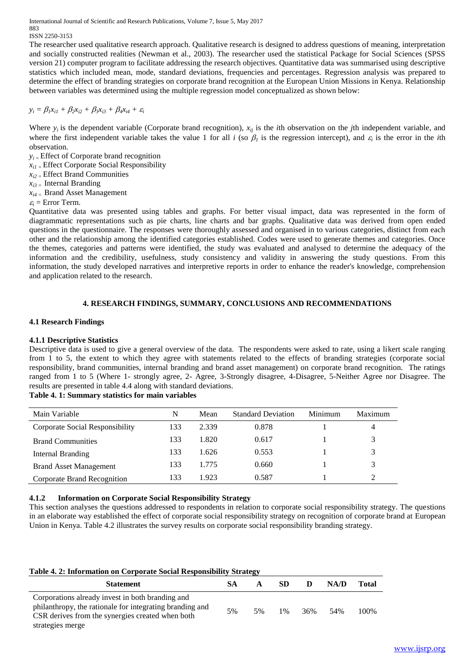The researcher used qualitative research approach. Qualitative research is designed to address questions of meaning, interpretation and socially constructed realities (Newman et al., 2003). The researcher used the statistical Package for Social Sciences (SPSS version 21) computer program to facilitate addressing the research objectives. Quantitative data was summarised using descriptive statistics which included mean, mode, standard deviations, frequencies and percentages. Regression analysis was prepared to determine the effect of branding strategies on corporate brand recognition at the European Union Missions in Kenya. Relationship between variables was determined using the multiple regression model conceptualized as shown below:

# $y_i = \beta_1 x_{i1} + \beta_2 x_{i2} + \beta_3 x_{i3} + \beta_4 x_{i4} + \varepsilon_i$

Where  $y_i$  is the dependent variable (Corporate brand recognition),  $x_{ij}$  is the *i*th observation on the *j*th independent variable, and where the first independent variable takes the value 1 for all  $i$  (so  $\beta_l$  is the regression intercept), and  $\varepsilon_i$  is the error in the *i*th observation.

- $y_i$  = Effect of Corporate brand recognition
- *xi1 =* Effect Corporate Social Responsibility
- *xi2 =* Effect Brand Communities
- $x_{i3}$  = Internal Branding
- $x_{i4}$  = Brand Asset Management
- $\varepsilon_i$  = Error Term.

Quantitative data was presented using tables and graphs. For better visual impact, data was represented in the form of diagrammatic representations such as pie charts, line charts and bar graphs. Qualitative data was derived from open ended questions in the questionnaire. The responses were thoroughly assessed and organised in to various categories, distinct from each other and the relationship among the identified categories established. Codes were used to generate themes and categories. Once the themes, categories and patterns were identified, the study was evaluated and analysed to determine the adequacy of the information and the credibility, usefulness, study consistency and validity in answering the study questions. From this information, the study developed narratives and interpretive reports in order to enhance the reader's knowledge, comprehension and application related to the research.

# **4. RESEARCH FINDINGS, SUMMARY, CONCLUSIONS AND RECOMMENDATIONS**

# **4.1 Research Findings**

# **4.1.1 Descriptive Statistics**

Descriptive data is used to give a general overview of the data. The respondents were asked to rate, using a likert scale ranging from 1 to 5, the extent to which they agree with statements related to the effects of branding strategies (corporate social responsibility, brand communities, internal branding and brand asset management) on corporate brand recognition. The ratings ranged from 1 to 5 (Where 1- strongly agree, 2- Agree, 3-Strongly disagree, 4-Disagree, 5-Neither Agree nor Disagree. The results are presented in table 4.4 along with standard deviations.

### **Table 4. 1: Summary statistics for main variables**

| Main Variable                   | N   | Mean  | <b>Standard Deviation</b> | Minimum | Maximum |
|---------------------------------|-----|-------|---------------------------|---------|---------|
| Corporate Social Responsibility | 133 | 2.339 | 0.878                     |         | 4       |
| <b>Brand Communities</b>        | 133 | 1.820 | 0.617                     |         | 3       |
| Internal Branding               | 133 | 1.626 | 0.553                     |         | 3       |
| <b>Brand Asset Management</b>   | 133 | 1.775 | 0.660                     |         | 3       |
| Corporate Brand Recognition     | 133 | 1.923 | 0.587                     |         |         |

# **4.1.2 Information on Corporate Social Responsibility Strategy**

This section analyses the questions addressed to respondents in relation to corporate social responsibility strategy. The questions in an elaborate way established the effect of corporate social responsibility strategy on recognition of corporate brand at European Union in Kenya. Table 4.2 illustrates the survey results on corporate social responsibility branding strategy.

| Table 4. 2: Information on Corporate Social Responsibility Strategy                                                                                                                  |    |    |           |     |      |       |  |  |
|--------------------------------------------------------------------------------------------------------------------------------------------------------------------------------------|----|----|-----------|-----|------|-------|--|--|
| <b>Statement</b>                                                                                                                                                                     | SА | A  | <b>SD</b> | D   | NA/D | Total |  |  |
| Corporations already invest in both branding and<br>philanthropy, the rationale for integrating branding and<br>CSR derives from the synergies created when both<br>strategies merge | 5% | 5% | $1\%$     | 36% | 54%  | 100%  |  |  |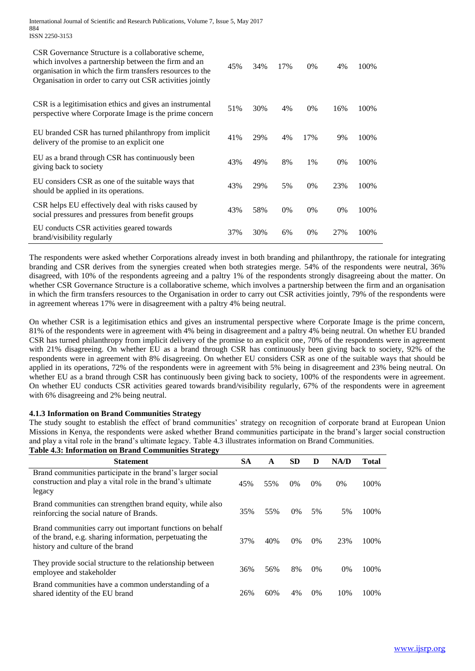| CSR Governance Structure is a collaborative scheme,<br>which involves a partnership between the firm and an<br>organisation in which the firm transfers resources to the<br>Organisation in order to carry out CSR activities jointly | 45% | 34% | 17% | 0%  | 4%  | 100% |
|---------------------------------------------------------------------------------------------------------------------------------------------------------------------------------------------------------------------------------------|-----|-----|-----|-----|-----|------|
| CSR is a legitimisation ethics and gives an instrumental<br>perspective where Corporate Image is the prime concern                                                                                                                    | 51% | 30% | 4%  | 0%  | 16% | 100% |
| EU branded CSR has turned philanthropy from implicit<br>delivery of the promise to an explicit one.                                                                                                                                   | 41% | 29% | 4%  | 17% | 9%  | 100% |
| EU as a brand through CSR has continuously been<br>giving back to society                                                                                                                                                             | 43% | 49% | 8%  | 1%  | 0%  | 100% |
| EU considers CSR as one of the suitable ways that<br>should be applied in its operations.                                                                                                                                             | 43% | 29% | 5%  | 0%  | 23% | 100% |
| CSR helps EU effectively deal with risks caused by<br>social pressures and pressures from benefit groups                                                                                                                              | 43% | 58% | 0%  | 0%  | 0%  | 100% |
| EU conducts CSR activities geared towards<br>brand/visibility regularly                                                                                                                                                               | 37% | 30% | 6%  | 0%  | 27% | 100% |

The respondents were asked whether Corporations already invest in both branding and philanthropy, the rationale for integrating branding and CSR derives from the synergies created when both strategies merge. 54% of the respondents were neutral, 36% disagreed, with 10% of the respondents agreeing and a paltry 1% of the respondents strongly disagreeing about the matter. On whether CSR Governance Structure is a collaborative scheme, which involves a partnership between the firm and an organisation in which the firm transfers resources to the Organisation in order to carry out CSR activities jointly, 79% of the respondents were in agreement whereas 17% were in disagreement with a paltry 4% being neutral.

On whether CSR is a legitimisation ethics and gives an instrumental perspective where Corporate Image is the prime concern, 81% of the respondents were in agreement with 4% being in disagreement and a paltry 4% being neutral. On whether EU branded CSR has turned philanthropy from implicit delivery of the promise to an explicit one, 70% of the respondents were in agreement with 21% disagreeing. On whether EU as a brand through CSR has continuously been giving back to society, 92% of the respondents were in agreement with 8% disagreeing. On whether EU considers CSR as one of the suitable ways that should be applied in its operations, 72% of the respondents were in agreement with 5% being in disagreement and 23% being neutral. On whether EU as a brand through CSR has continuously been giving back to society, 100% of the respondents were in agreement. On whether EU conducts CSR activities geared towards brand/visibility regularly, 67% of the respondents were in agreement with 6% disagreeing and 2% being neutral.

### **4.1.3 Information on Brand Communities Strategy**

The study sought to establish the effect of brand communities' strategy on recognition of corporate brand at European Union Missions in Kenya, the respondents were asked whether Brand communities participate in the brand's larger social construction and play a vital role in the brand's ultimate legacy. Table 4.3 illustrates information on Brand Communities.

| таяк -ня шклішаня он втана соншанняя япанс.                                                                                                               |           |     |           |       |       |              |
|-----------------------------------------------------------------------------------------------------------------------------------------------------------|-----------|-----|-----------|-------|-------|--------------|
| <b>Statement</b>                                                                                                                                          | <b>SA</b> | A   | <b>SD</b> | D     | NA/D  | <b>Total</b> |
| Brand communities participate in the brand's larger social<br>construction and play a vital role in the brand's ultimate<br>legacy                        | 45%       | 55% | $0\%$     | $0\%$ | 0%    | 100%         |
| Brand communities can strengthen brand equity, while also<br>reinforcing the social nature of Brands.                                                     | 35%       | 55% | $0\%$     | 5%    | 5%    | 100%         |
| Brand communities carry out important functions on behalf<br>of the brand, e.g. sharing information, perpetuating the<br>history and culture of the brand | 37%       | 40% | $0\%$     | $0\%$ | 23%   | 100%         |
| They provide social structure to the relationship between<br>employee and stakeholder                                                                     | 36%       | 56% | 8%        | $0\%$ | $0\%$ | 100%         |
| Brand communities have a common understanding of a<br>shared identity of the EU brand                                                                     | 26%       | 60% | 4%        | $0\%$ | 10%   | 100%         |
|                                                                                                                                                           |           |     |           |       |       |              |

**Table 4.3: Information on Brand Communities Strategy**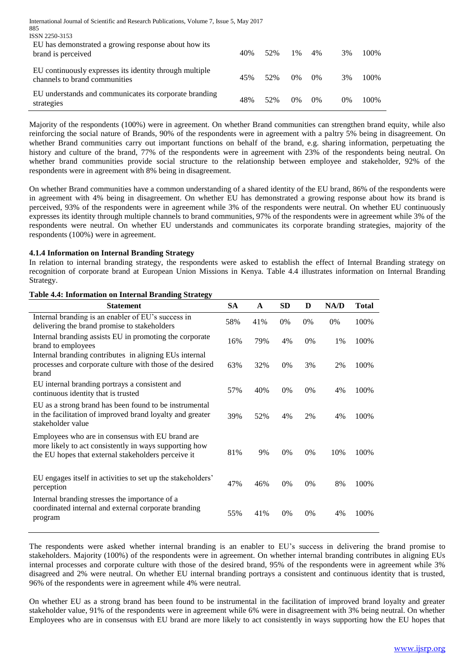| International Journal of Scientific and Research Publications, Volume 7, Issue 5, May 2017<br>885<br>ISSN 2250-3153 |     |     |       |       |    |       |
|---------------------------------------------------------------------------------------------------------------------|-----|-----|-------|-------|----|-------|
| EU has demonstrated a growing response about how its<br>brand is perceived                                          | 40% | 52% | 1%    | 4%    | 3% | 100\% |
| EU continuously expresses its identity through multiple<br>channels to brand communities                            | 45% | 52% | $0\%$ | $0\%$ | 3% | 100\% |
| EU understands and communicates its corporate branding<br>strategies                                                | 48% | 52% | $0\%$ | $0\%$ | 0% | 100%  |

Majority of the respondents (100%) were in agreement. On whether Brand communities can strengthen brand equity, while also reinforcing the social nature of Brands, 90% of the respondents were in agreement with a paltry 5% being in disagreement. On whether Brand communities carry out important functions on behalf of the brand, e.g. sharing information, perpetuating the history and culture of the brand, 77% of the respondents were in agreement with 23% of the respondents being neutral. On whether brand communities provide social structure to the relationship between employee and stakeholder, 92% of the respondents were in agreement with 8% being in disagreement.

On whether Brand communities have a common understanding of a shared identity of the EU brand, 86% of the respondents were in agreement with 4% being in disagreement. On whether EU has demonstrated a growing response about how its brand is perceived, 93% of the respondents were in agreement while 3% of the respondents were neutral. On whether EU continuously expresses its identity through multiple channels to brand communities, 97% of the respondents were in agreement while 3% of the respondents were neutral. On whether EU understands and communicates its corporate branding strategies, majority of the respondents (100%) were in agreement.

### **4.1.4 Information on Internal Branding Strategy**

In relation to internal branding strategy, the respondents were asked to establish the effect of Internal Branding strategy on recognition of corporate brand at European Union Missions in Kenya. Table 4.4 illustrates information on Internal Branding Strategy.

#### **Table 4.4: Information on Internal Branding Strategy**

| Statement                                                                                                                                                         | <b>SA</b> | $\mathbf{A}$ | <b>SD</b> | D  | NA/D  | <b>Total</b> |
|-------------------------------------------------------------------------------------------------------------------------------------------------------------------|-----------|--------------|-----------|----|-------|--------------|
| Internal branding is an enabler of EU's success in<br>delivering the brand promise to stakeholders                                                                | 58%       | 41%          | 0%        | 0% | $0\%$ | 100%         |
| Internal branding assists EU in promoting the corporate<br>brand to employees                                                                                     | 16%       | 79%          | 4%        | 0% | 1%    | 100%         |
| Internal branding contributes in aligning EUs internal<br>processes and corporate culture with those of the desired<br>brand                                      | 63%       | 32%          | 0%        | 3% | 2%    | 100%         |
| EU internal branding portrays a consistent and<br>continuous identity that is trusted                                                                             | 57%       | 40%          | 0%        | 0% | 4%    | 100%         |
| EU as a strong brand has been found to be instrumental<br>in the facilitation of improved brand loyalty and greater<br>stakeholder value                          | 39%       | 52%          | 4%        | 2% | 4%    | 100%         |
| Employees who are in consensus with EU brand are<br>more likely to act consistently in ways supporting how<br>the EU hopes that external stakeholders perceive it | 81%       | 9%           | 0%        | 0% | 10%   | 100%         |
| EU engages itself in activities to set up the stakeholders'<br>perception                                                                                         | 47%       | 46%          | 0%        | 0% | 8%    | 100%         |
| Internal branding stresses the importance of a<br>coordinated internal and external corporate branding<br>program                                                 | 55%       | 41%          | 0%        | 0% | 4%    | 100%         |

The respondents were asked whether internal branding is an enabler to EU's success in delivering the brand promise to stakeholders. Majority (100%) of the respondents were in agreement. On whether internal branding contributes in aligning EUs internal processes and corporate culture with those of the desired brand, 95% of the respondents were in agreement while 3% disagreed and 2% were neutral. On whether EU internal branding portrays a consistent and continuous identity that is trusted, 96% of the respondents were in agreement while 4% were neutral.

On whether EU as a strong brand has been found to be instrumental in the facilitation of improved brand loyalty and greater stakeholder value, 91% of the respondents were in agreement while 6% were in disagreement with 3% being neutral. On whether Employees who are in consensus with EU brand are more likely to act consistently in ways supporting how the EU hopes that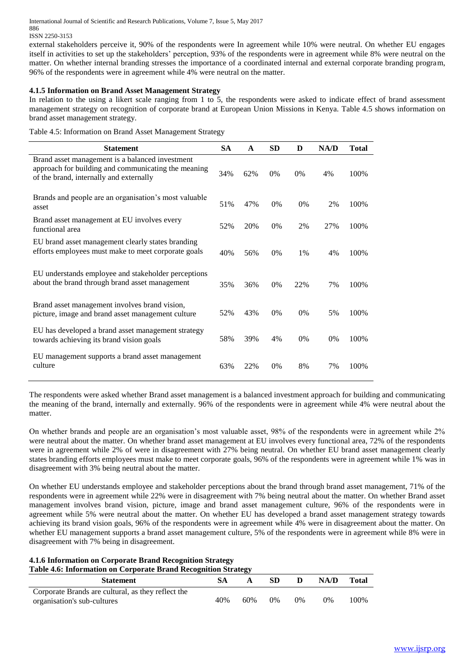ISSN 2250-3153

external stakeholders perceive it, 90% of the respondents were In agreement while 10% were neutral. On whether EU engages itself in activities to set up the stakeholders' perception, 93% of the respondents were in agreement while 8% were neutral on the matter. On whether internal branding stresses the importance of a coordinated internal and external corporate branding program, 96% of the respondents were in agreement while 4% were neutral on the matter.

### **4.1.5 Information on Brand Asset Management Strategy**

In relation to the using a likert scale ranging from 1 to 5, the respondents were asked to indicate effect of brand assessment management strategy on recognition of corporate brand at European Union Missions in Kenya. Table 4.5 shows information on brand asset management strategy.

Table 4.5: Information on Brand Asset Management Strategy

| <b>Statement</b>                                                                                                                                  | <b>SA</b> | A   | <b>SD</b> | D     | NA/D | <b>Total</b> |
|---------------------------------------------------------------------------------------------------------------------------------------------------|-----------|-----|-----------|-------|------|--------------|
| Brand asset management is a balanced investment<br>approach for building and communicating the meaning<br>of the brand, internally and externally | 34%       | 62% | $0\%$     | $0\%$ | 4%   | 100%         |
| Brands and people are an organisation's most valuable<br>asset                                                                                    | 51%       | 47% | $0\%$     | 0%    | 2%   | 100%         |
| Brand asset management at EU involves every<br>functional area                                                                                    | 52%       | 20% | $0\%$     | 2%    | 27%  | 100%         |
| EU brand asset management clearly states branding<br>efforts employees must make to meet corporate goals                                          | 40%       | 56% | $0\%$     | $1\%$ | 4%   | 100%         |
| EU understands employee and stakeholder perceptions<br>about the brand through brand asset management                                             | 35%       | 36% | $0\%$     | 22%   | 7%   | 100%         |
| Brand asset management involves brand vision,<br>picture, image and brand asset management culture                                                | 52%       | 43% | $0\%$     | $0\%$ | 5%   | 100%         |
| EU has developed a brand asset management strategy<br>towards achieving its brand vision goals                                                    | 58%       | 39% | 4%        | $0\%$ | 0%   | 100%         |
| EU management supports a brand asset management<br>culture                                                                                        | 63%       | 22% | 0%        | 8%    | 7%   | 100%         |

The respondents were asked whether Brand asset management is a balanced investment approach for building and communicating the meaning of the brand, internally and externally. 96% of the respondents were in agreement while 4% were neutral about the matter.

On whether brands and people are an organisation's most valuable asset, 98% of the respondents were in agreement while 2% were neutral about the matter. On whether brand asset management at EU involves every functional area, 72% of the respondents were in agreement while 2% of were in disagreement with 27% being neutral. On whether EU brand asset management clearly states branding efforts employees must make to meet corporate goals, 96% of the respondents were in agreement while 1% was in disagreement with 3% being neutral about the matter.

On whether EU understands employee and stakeholder perceptions about the brand through brand asset management, 71% of the respondents were in agreement while 22% were in disagreement with 7% being neutral about the matter. On whether Brand asset management involves brand vision, picture, image and brand asset management culture, 96% of the respondents were in agreement while 5% were neutral about the matter. On whether EU has developed a brand asset management strategy towards achieving its brand vision goals, 96% of the respondents were in agreement while 4% were in disagreement about the matter. On whether EU management supports a brand asset management culture, 5% of the respondents were in agreement while 8% were in disagreement with 7% being in disagreement.

# **4.1.6 Information on Corporate Brand Recognition Strategy Table 4.6: Information on Corporate Brand Recognition Strategy**

| <b>Statement</b>                                   |     |     | SD.   | D     | NA/D | Total   |
|----------------------------------------------------|-----|-----|-------|-------|------|---------|
| Corporate Brands are cultural, as they reflect the |     |     |       |       |      |         |
| organisation's sub-cultures                        | 40% | 60% | $0\%$ | $0\%$ | 0%   | $100\%$ |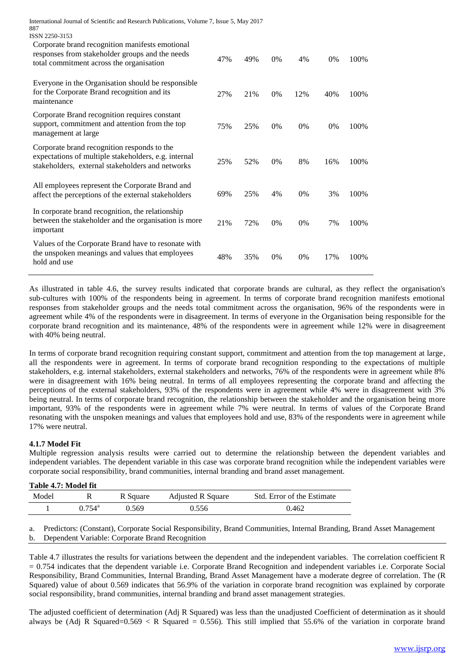| International Journal of Scientific and Research Publications, Volume 7, Issue 5, May 2017<br>887                                                       |     |     |       |       |     |       |
|---------------------------------------------------------------------------------------------------------------------------------------------------------|-----|-----|-------|-------|-----|-------|
| ISSN 2250-3153                                                                                                                                          |     |     |       |       |     |       |
| Corporate brand recognition manifests emotional<br>responses from stakeholder groups and the needs<br>total commitment across the organisation          | 47% | 49% | $0\%$ | 4%    | 0%  | 100%  |
| Everyone in the Organisation should be responsible<br>for the Corporate Brand recognition and its<br>maintenance                                        | 27% | 21% | $0\%$ | 12%   | 40% | 100%  |
| Corporate Brand recognition requires constant<br>support, commitment and attention from the top<br>management at large                                  | 75% | 25% | $0\%$ | $0\%$ | 0%  | 100\% |
| Corporate brand recognition responds to the<br>expectations of multiple stakeholders, e.g. internal<br>stakeholders, external stakeholders and networks | 25% | 52% | $0\%$ | 8%    | 16% | 100%  |
| All employees represent the Corporate Brand and<br>affect the perceptions of the external stakeholders                                                  | 69% | 25% | 4%    | 0%    | 3%  | 100%  |
| In corporate brand recognition, the relationship<br>between the stakeholder and the organisation is more<br>important                                   | 21% | 72% | 0%    | 0%    | 7%  | 100%  |
| Values of the Corporate Brand have to resonate with<br>the unspoken meanings and values that employees<br>hold and use                                  | 48% | 35% | 0%    | $0\%$ | 17% | 100%  |

As illustrated in table 4.6, the survey results indicated that corporate brands are cultural, as they reflect the organisation's sub-cultures with 100% of the respondents being in agreement. In terms of corporate brand recognition manifests emotional responses from stakeholder groups and the needs total commitment across the organisation, 96% of the respondents were in agreement while 4% of the respondents were in disagreement. In terms of everyone in the Organisation being responsible for the corporate brand recognition and its maintenance, 48% of the respondents were in agreement while 12% were in disagreement with 40% being neutral.

In terms of corporate brand recognition requiring constant support, commitment and attention from the top management at large, all the respondents were in agreement. In terms of corporate brand recognition responding to the expectations of multiple stakeholders, e.g. internal stakeholders, external stakeholders and networks, 76% of the respondents were in agreement while 8% were in disagreement with 16% being neutral. In terms of all employees representing the corporate brand and affecting the perceptions of the external stakeholders, 93% of the respondents were in agreement while 4% were in disagreement with 3% being neutral. In terms of corporate brand recognition, the relationship between the stakeholder and the organisation being more important, 93% of the respondents were in agreement while 7% were neutral. In terms of values of the Corporate Brand resonating with the unspoken meanings and values that employees hold and use, 83% of the respondents were in agreement while 17% were neutral.

# **4.1.7 Model Fit**

Multiple regression analysis results were carried out to determine the relationship between the dependent variables and independent variables. The dependent variable in this case was corporate brand recognition while the independent variables were corporate social responsibility, brand communities, internal branding and brand asset management.

| Table 4.7: Model fit |           |          |                   |                            |
|----------------------|-----------|----------|-------------------|----------------------------|
| Model                |           | R Square | Adjusted R Square | Std. Error of the Estimate |
|                      | $0.754^a$ | 0.569    | 0.556             | 0.462                      |

a. Predictors: (Constant), Corporate Social Responsibility, Brand Communities, Internal Branding, Brand Asset Management b. Dependent Variable: Corporate Brand Recognition

Table 4.7 illustrates the results for variations between the dependent and the independent variables. The correlation coefficient R = 0.754 indicates that the dependent variable i.e. Corporate Brand Recognition and independent variables i.e. Corporate Social Responsibility, Brand Communities, Internal Branding, Brand Asset Management have a moderate degree of correlation. The (R Squared) value of about 0.569 indicates that 56.9% of the variation in corporate brand recognition was explained by corporate social responsibility, brand communities, internal branding and brand asset management strategies.

The adjusted coefficient of determination (Adj R Squared) was less than the unadjusted Coefficient of determination as it should always be (Adj R Squared=0.569  $\lt R$  Squared = 0.556). This still implied that 55.6% of the variation in corporate brand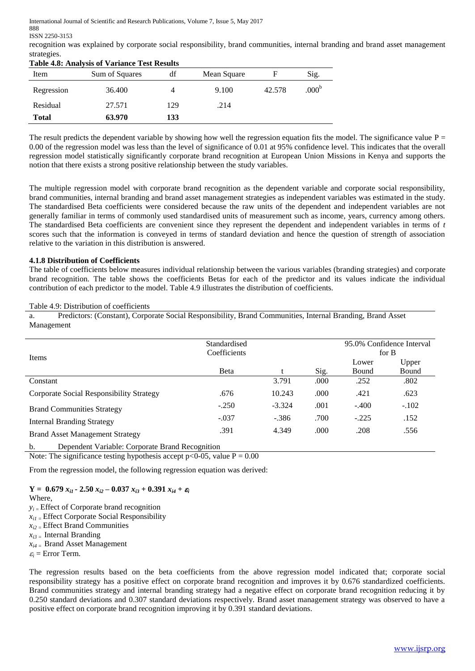ISSN 2250-3153

recognition was explained by corporate social responsibility, brand communities, internal branding and brand asset management strategies. **Table 4.8: Analysis of Variance Test Results**

| Item         | <b>Table 4.8: Analysis 01 variance Test Results</b><br>Sum of Squares | df  | Mean Square |        | Sig.              |  |
|--------------|-----------------------------------------------------------------------|-----|-------------|--------|-------------------|--|
| Regression   | 36.400                                                                |     | 9.100       | 42.578 | .000 <sup>b</sup> |  |
| Residual     | 27.571                                                                | 129 | .214        |        |                   |  |
| <b>Total</b> | 63.970                                                                | 133 |             |        |                   |  |

The result predicts the dependent variable by showing how well the regression equation fits the model. The significance value  $P =$ 0.00 of the regression model was less than the level of significance of 0.01 at 95% confidence level. This indicates that the overall regression model statistically significantly corporate brand recognition at European Union Missions in Kenya and supports the notion that there exists a strong positive relationship between the study variables.

The multiple regression model with corporate brand recognition as the dependent variable and corporate social responsibility, brand communities, internal branding and brand asset management strategies as independent variables was estimated in the study. The standardised Beta coefficients were considered because the raw units of the dependent and independent variables are not generally familiar in terms of commonly used standardised units of measurement such as income, years, currency among others. The standardised Beta coefficients are convenient since they represent the dependent and independent variables in terms of *t* scores such that the information is conveyed in terms of standard deviation and hence the question of strength of association relative to the variation in this distribution is answered.

### **4.1.8 Distribution of Coefficients**

The table of coefficients below measures individual relationship between the various variables (branding strategies) and corporate brand recognition. The table shows the coefficients Betas for each of the predictor and its values indicate the individual contribution of each predictor to the model. Table 4.9 illustrates the distribution of coefficients.

#### Table 4.9: Distribution of coefficients

a. Predictors: (Constant), Corporate Social Responsibility, Brand Communities, Internal Branding, Brand Asset Management

| Items                                           | Standardised<br>Coefficients |          |              | 95.0% Confidence Interval<br>for B |               |
|-------------------------------------------------|------------------------------|----------|--------------|------------------------------------|---------------|
|                                                 |                              |          |              | Lower                              | Upper         |
| Constant                                        | <b>B</b> eta                 | 3.791    | Sig.<br>.000 | Bound<br>.252                      | Bound<br>.802 |
|                                                 |                              |          |              |                                    |               |
| <b>Corporate Social Responsibility Strategy</b> | .676                         | 10.243   | .000         | .421                               | .623          |
| <b>Brand Communities Strategy</b>               | $-.250$                      | $-3.324$ | .001         | $-.400$                            | $-.102$       |
| <b>Internal Branding Strategy</b>               | $-.037$                      | $-.386$  | .700         | $-.225$                            | .152          |
| <b>Brand Asset Management Strategy</b>          | .391                         | 4.349    | .000         | .208                               | .556          |

b. Dependent Variable: Corporate Brand Recognition

Note: The significance testing hypothesis accept  $p < 0.05$ , value  $P = 0.00$ 

From the regression model, the following regression equation was derived:

**Y** =  $0.679 x_{i1} - 2.50 x_{i2} - 0.037 x_{i3} + 0.391 x_{i4} + \varepsilon_i$ 

- Where,
- $y_i$  = Effect of Corporate brand recognition
- *xi1 =* Effect Corporate Social Responsibility
- *xi2 =* Effect Brand Communities
- *xi3 =* Internal Branding
- *xi4 =* Brand Asset Management

 $\varepsilon$ <sub>*i*</sub> = Error Term.

The regression results based on the beta coefficients from the above regression model indicated that; corporate social responsibility strategy has a positive effect on corporate brand recognition and improves it by 0.676 standardized coefficients. Brand communities strategy and internal branding strategy had a negative effect on corporate brand recognition reducing it by 0.250 standard deviations and 0.307 standard deviations respectively. Brand asset management strategy was observed to have a positive effect on corporate brand recognition improving it by 0.391 standard deviations.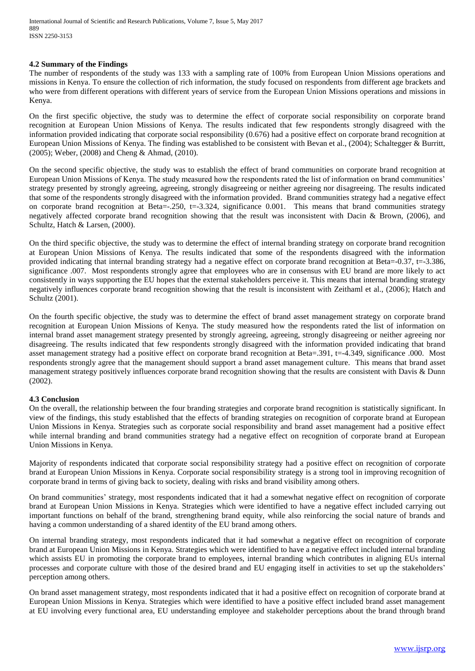#### **4.2 Summary of the Findings**

The number of respondents of the study was 133 with a sampling rate of 100% from European Union Missions operations and missions in Kenya. To ensure the collection of rich information, the study focused on respondents from different age brackets and who were from different operations with different years of service from the European Union Missions operations and missions in Kenya.

On the first specific objective, the study was to determine the effect of corporate social responsibility on corporate brand recognition at European Union Missions of Kenya. The results indicated that few respondents strongly disagreed with the information provided indicating that corporate social responsibility (0.676) had a positive effect on corporate brand recognition at European Union Missions of Kenya. The finding was established to be consistent with Bevan et al., (2004); Schaltegger & Burritt, (2005); Weber, (2008) and Cheng & Ahmad, (2010).

On the second specific objective, the study was to establish the effect of brand communities on corporate brand recognition at European Union Missions of Kenya. The study measured how the respondents rated the list of information on brand communities' strategy presented by strongly agreeing, agreeing, strongly disagreeing or neither agreeing nor disagreeing. The results indicated that some of the respondents strongly disagreed with the information provided. Brand communities strategy had a negative effect on corporate brand recognition at Beta=-.250, t=-3.324, significance 0.001. This means that brand communities strategy negatively affected corporate brand recognition showing that the result was inconsistent with Dacin & Brown, (2006), and Schultz, Hatch & Larsen, (2000).

On the third specific objective, the study was to determine the effect of internal branding strategy on corporate brand recognition at European Union Missions of Kenya. The results indicated that some of the respondents disagreed with the information provided indicating that internal branding strategy had a negative effect on corporate brand recognition at Beta=-0.37, t=-3.386, significance .007. Most respondents strongly agree that employees who are in consensus with EU brand are more likely to act consistently in ways supporting the EU hopes that the external stakeholders perceive it. This means that internal branding strategy negatively influences corporate brand recognition showing that the result is inconsistent with Zeithaml et al., (2006); Hatch and Schultz (2001).

On the fourth specific objective, the study was to determine the effect of brand asset management strategy on corporate brand recognition at European Union Missions of Kenya. The study measured how the respondents rated the list of information on internal brand asset management strategy presented by strongly agreeing, agreeing, strongly disagreeing or neither agreeing nor disagreeing. The results indicated that few respondents strongly disagreed with the information provided indicating that brand asset management strategy had a positive effect on corporate brand recognition at Beta=.391, t=-4.349, significance .000. Most respondents strongly agree that the management should support a brand asset management culture. This means that brand asset management strategy positively influences corporate brand recognition showing that the results are consistent with Davis & Dunn (2002).

### **4.3 Conclusion**

On the overall, the relationship between the four branding strategies and corporate brand recognition is statistically significant. In view of the findings, this study established that the effects of branding strategies on recognition of corporate brand at European Union Missions in Kenya. Strategies such as corporate social responsibility and brand asset management had a positive effect while internal branding and brand communities strategy had a negative effect on recognition of corporate brand at European Union Missions in Kenya.

Majority of respondents indicated that corporate social responsibility strategy had a positive effect on recognition of corporate brand at European Union Missions in Kenya. Corporate social responsibility strategy is a strong tool in improving recognition of corporate brand in terms of giving back to society, dealing with risks and brand visibility among others.

On brand communities' strategy, most respondents indicated that it had a somewhat negative effect on recognition of corporate brand at European Union Missions in Kenya. Strategies which were identified to have a negative effect included carrying out important functions on behalf of the brand, strengthening brand equity, while also reinforcing the social nature of brands and having a common understanding of a shared identity of the EU brand among others.

On internal branding strategy, most respondents indicated that it had somewhat a negative effect on recognition of corporate brand at European Union Missions in Kenya. Strategies which were identified to have a negative effect included internal branding which assists EU in promoting the corporate brand to employees, internal branding which contributes in aligning EUs internal processes and corporate culture with those of the desired brand and EU engaging itself in activities to set up the stakeholders' perception among others.

On brand asset management strategy, most respondents indicated that it had a positive effect on recognition of corporate brand at European Union Missions in Kenya. Strategies which were identified to have a positive effect included brand asset management at EU involving every functional area, EU understanding employee and stakeholder perceptions about the brand through brand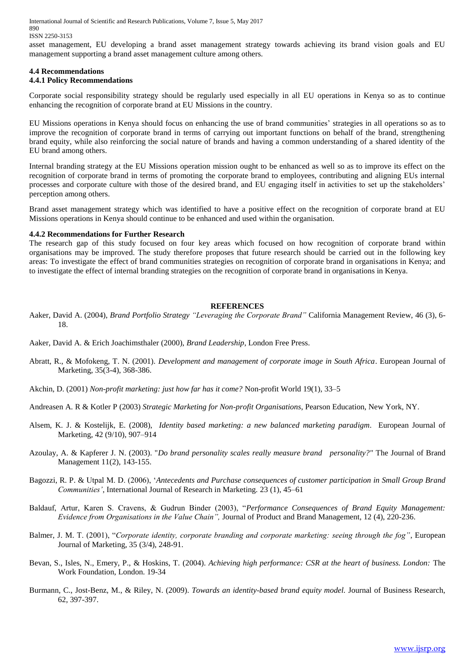ISSN 2250-3153

asset management, EU developing a brand asset management strategy towards achieving its brand vision goals and EU management supporting a brand asset management culture among others.

#### **4.4 Recommendations**

#### **4.4.1 Policy Recommendations**

Corporate social responsibility strategy should be regularly used especially in all EU operations in Kenya so as to continue enhancing the recognition of corporate brand at EU Missions in the country.

EU Missions operations in Kenya should focus on enhancing the use of brand communities' strategies in all operations so as to improve the recognition of corporate brand in terms of carrying out important functions on behalf of the brand, strengthening brand equity, while also reinforcing the social nature of brands and having a common understanding of a shared identity of the EU brand among others.

Internal branding strategy at the EU Missions operation mission ought to be enhanced as well so as to improve its effect on the recognition of corporate brand in terms of promoting the corporate brand to employees, contributing and aligning EUs internal processes and corporate culture with those of the desired brand, and EU engaging itself in activities to set up the stakeholders' perception among others.

Brand asset management strategy which was identified to have a positive effect on the recognition of corporate brand at EU Missions operations in Kenya should continue to be enhanced and used within the organisation.

#### **4.4.2 Recommendations for Further Research**

The research gap of this study focused on four key areas which focused on how recognition of corporate brand within organisations may be improved. The study therefore proposes that future research should be carried out in the following key areas: To investigate the effect of brand communities strategies on recognition of corporate brand in organisations in Kenya; and to investigate the effect of internal branding strategies on the recognition of corporate brand in organisations in Kenya.

#### **REFERENCES**

- Aaker, David A. (2004), *Brand Portfolio Strategy "Leveraging the Corporate Brand"* California Management Review, 46 (3), 6- 18.
- Aaker, David A. & Erich Joachimsthaler (2000), *Brand Leadership*, London Free Press.
- Abratt, R., & Mofokeng, T. N. (2001). *Development and management of corporate image in South Africa*. European Journal of Marketing, 35(3-4), 368-386.
- Akchin, D. (2001) *Non-profit marketing: just how far has it come?* Non-profit World 19(1), 33–5
- Andreasen A. R & Kotler P (2003) *Strategic Marketing for Non-profit Organisations*, Pearson Education, New York, NY.
- Alsem, K. J. & Kostelijk, E. (2008), *Identity based marketing: a new balanced marketing paradigm*. European Journal of Marketing, 42 (9/10), 907–914
- Azoulay, A. & Kapferer J. N. (2003). "*Do brand personality scales really measure brand personality?"* The Journal of Brand Management 11(2), 143-155.
- Bagozzi, R. P. & Utpal M. D. (2006), '*Antecedents and Purchase consequences of customer participation in Small Group Brand Communities'*, International Journal of Research in Marketing. 23 (1), 45–61
- Baldauf, Artur, Karen S. Cravens, & Gudrun Binder (2003), "*Performance Consequences of Brand Equity Management: Evidence from Organisations in the Value Chain",* Journal of Product and Brand Management, 12 (4), 220-236.
- Balmer, J. M. T. (2001), "*Corporate identity, corporate branding and corporate marketing: seeing through the fog"*, European Journal of Marketing, 35 (3/4), 248-91.
- Bevan, S., Isles, N., Emery, P., & Hoskins, T. (2004). *Achieving high performance: CSR at the heart of business. London:* The Work Foundation, London. 19-34
- Burmann, C., Jost-Benz, M., & Riley, N. (2009). *Towards an identity-based brand equity model.* Journal of Business Research, 62, 397-397.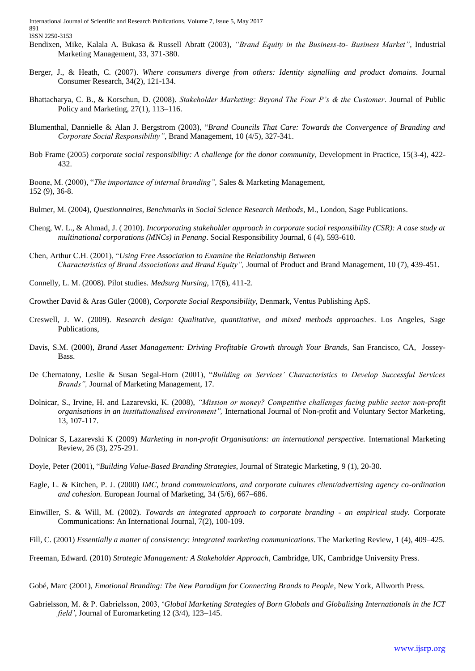- Bendixen, Mike, Kalala A. Bukasa & Russell Abratt (2003), *"Brand Equity in the Business-to- Business Market"*, Industrial Marketing Management, 33, 371-380.
- Berger, J., & Heath, C. (2007). *Where consumers diverge from others: Identity signalling and product domains*. Journal Consumer Research, 34(2), 121-134.
- Bhattacharya, C. B., & Korschun, D. (2008). *Stakeholder Marketing: Beyond The Four P's & the Customer*. Journal of Public Policy and Marketing, 27(1), 113–116.
- Blumenthal, Dannielle & Alan J. Bergstrom (2003), "*Brand Councils That Care: Towards the Convergence of Branding and Corporate Social Responsibility"*, Brand Management, 10 (4/5), 327-341.
- Bob Frame (2005) *corporate social responsibility: A challenge for the donor community*, Development in Practice, 15(3-4), 422- 432.

Boone, M. (2000), "*The importance of internal branding",* Sales & Marketing Management, 152 (9), 36-8.

- Bulmer, M. (2004), *Questionnaires, Benchmarks in Social Science Research Methods*, M., London, Sage Publications.
- Cheng, W. L., & Ahmad, J. ( 2010). *Incorporating stakeholder approach in corporate social responsibility (CSR): A case study at multinational corporations (MNCs) in Penang*. Social Responsibility Journal, 6 (4), 593-610.
- Chen, Arthur C.H. (2001), "*Using Free Association to Examine the Relationship Between Characteristics of Brand Associations and Brand Equity",* Journal of Product and Brand Management, 10 (7), 439-451.
- Connelly, L. M. (2008). Pilot studies. *Medsurg Nursing*, 17(6), 411-2.
- Crowther David & Aras Güler (2008), *Corporate Social Responsibility*, Denmark, Ventus Publishing ApS.
- Creswell, J. W. (2009). *Research design: Qualitative, quantitative, and mixed methods approaches*. Los Angeles, Sage Publications,
- Davis, S.M. (2000), *Brand Asset Management: Driving Profitable Growth through Your Brands,* San Francisco, CA, Jossey-Bass.
- De Chernatony, Leslie & Susan Segal-Horn (2001), "*Building on Services' Characteristics to Develop Successful Services Brands",* Journal of Marketing Management, 17.
- Dolnicar, S., Irvine, H. and Lazarevski, K. (2008), *"Mission or money? Competitive challenges facing public sector non-profit organisations in an institutionalised environment",* International Journal of Non-profit and Voluntary Sector Marketing, 13, 107-117.
- Dolnicar S, Lazarevski K (2009) *Marketing in non-profit Organisations: an international perspective*. International Marketing Review, 26 (3), 275-291.
- Doyle, Peter (2001), "*Building Value-Based Branding Strategies*, Journal of Strategic Marketing, 9 (1), 20-30.
- Eagle, L. & Kitchen, P. J. (2000) *IMC, brand communications, and corporate cultures client/advertising agency co-ordination and cohesion.* European Journal of Marketing, 34 (5/6), 667–686.
- Einwiller, S. & Will, M. (2002). *Towards an integrated approach to corporate branding - an empirical study.* Corporate Communications: An International Journal, 7(2), 100-109.
- Fill, C. (2001) *Essentially a matter of consistency: integrated marketing communications*. The Marketing Review, 1 (4), 409–425.
- Freeman, Edward. (2010) *Strategic Management: A Stakeholder Approach*, Cambridge, UK, Cambridge University Press.

Gobé, Marc (2001), *Emotional Branding: The New Paradigm for Connecting Brands to People*, New York, Allworth Press.

Gabrielsson, M. & P. Gabrielsson, 2003, '*Global Marketing Strategies of Born Globals and Globalising Internationals in the ICT field'*, Journal of Euromarketing 12 (3/4), 123–145.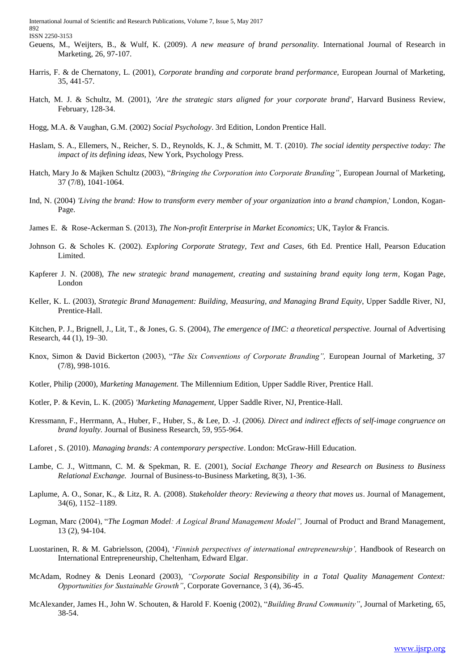- Geuens, M., Weijters, B., & Wulf, K. (2009). *A new measure of brand personality.* International Journal of Research in Marketing, 26, 97-107.
- Harris, F. & de Chernatony, L. (2001), *Corporate branding and corporate brand performance,* European Journal of Marketing, 35, 441-57.
- Hatch, M. J. & Schultz, M. (2001), *'Are the strategic stars aligned for your corporate brand'*, Harvard Business Review, February, 128-34.
- Hogg, M.A. & Vaughan, G.M. (2002) *Social Psychology*. 3rd Edition, London Prentice Hall.
- Haslam, S. A., Ellemers, N., Reicher, S. D., Reynolds, K. J., & Schmitt, M. T. (2010). *The social identity perspective today: The impact of its defining ideas*, New York, Psychology Press.
- Hatch, Mary Jo & Majken Schultz (2003), "*Bringing the Corporation into Corporate Branding"*, European Journal of Marketing, 37 (7/8), 1041-1064.
- Ind, N. (2004) *'Living the brand: How to transform every member of your organization into a brand champion*,' London, Kogan-Page.
- James E. & Rose-Ackerman S. (2013), *The Non-profit Enterprise in Market Economics*; UK, Taylor & Francis.
- Johnson G. & Scholes K. (2002). *Exploring Corporate Strategy, Text and Cases*, 6th Ed. Prentice Hall, Pearson Education Limited.
- Kapferer J. N. (2008), *The new strategic brand management, creating and sustaining brand equity long term,* Kogan Page, London
- Keller, K. L. (2003), *Strategic Brand Management: Building, Measuring, and Managing Brand Equity*, Upper Saddle River, NJ, Prentice-Hall.
- Kitchen, P. J., Brignell, J., Lit, T., & Jones, G. S. (2004), *The emergence of IMC: a theoretical perspective.* Journal of Advertising Research, 44 (1), 19–30.
- Knox, Simon & David Bickerton (2003), "*The Six Conventions of Corporate Branding",* European Journal of Marketing, 37 (7/8), 998-1016.
- Kotler, Philip (2000), *Marketing Management.* The Millennium Edition, Upper Saddle River, Prentice Hall.
- Kotler, P. & Kevin, L. K. (2005) *'Marketing Management,* Upper Saddle River, NJ, Prentice-Hall.
- Kressmann, F., Herrmann, A., Huber, F., Huber, S., & Lee, D. -J. (2006*). Direct and indirect effects of self-image congruence on brand loyalty.* Journal of Business Research, 59, 955-964.
- Laforet , S. (2010). *Managing brands: A contemporary perspective*. London: McGraw-Hill Education.
- Lambe, C. J., Wittmann, C. M. & Spekman, R. E. (2001), *Social Exchange Theory and Research on Business to Business Relational Exchange.* Journal of Business-to-Business Marketing, 8(3), 1-36.
- Laplume, A. O., Sonar, K., & Litz, R. A. (2008). *Stakeholder theory: Reviewing a theory that moves us*. Journal of Management, 34(6), 1152–1189.
- Logman, Marc (2004), "*The Logman Model: A Logical Brand Management Model",* Journal of Product and Brand Management, 13 (2), 94-104.
- Luostarinen, R. & M. Gabrielsson, (2004), '*Finnish perspectives of international entrepreneurship',* Handbook of Research on International Entrepreneurship, Cheltenham, Edward Elgar.
- McAdam, Rodney & Denis Leonard (2003), *"Corporate Social Responsibility in a Total Quality Management Context: Opportunities for Sustainable Growth"*, Corporate Governance, 3 (4), 36-45.
- McAlexander, James H., John W. Schouten, & Harold F. Koenig (2002), "*Building Brand Community"*, Journal of Marketing, 65, 38-54.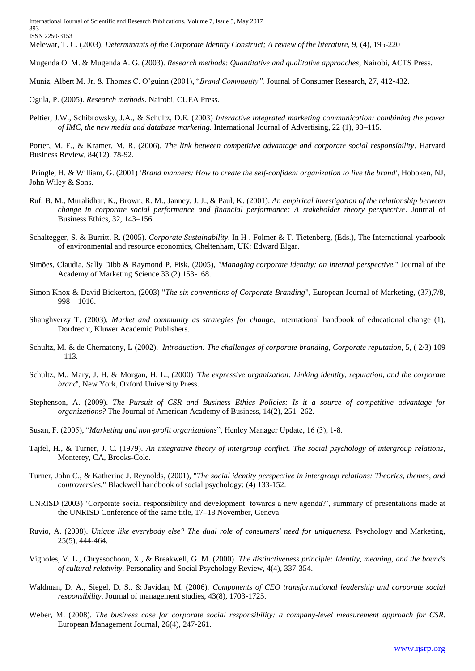Melewar, T. C. (2003), *Determinants of the Corporate Identity Construct; A review of the literature,* 9, (4), 195-220

Mugenda O. M. & Mugenda A. G. (2003). *Research methods: Quantitative and qualitative approaches*, Nairobi, ACTS Press.

Muniz, Albert M. Jr. & Thomas C. O'guinn (2001), "*Brand Community",* Journal of Consumer Research, 27, 412-432.

Ogula, P. (2005). *Research methods*. Nairobi, CUEA Press.

Peltier, J.W., Schibrowsky, J.A., & Schultz, D.E. (2003) *Interactive integrated marketing communication: combining the power of IMC, the new media and database marketing.* International Journal of Advertising, 22 (1), 93–115.

Porter, M. E., & Kramer, M. R. (2006). *The link between competitive advantage and corporate social responsibility*. Harvard Business Review, 84(12), 78-92.

Pringle, H. & William, G. (2001) *'Brand manners: How to create the self-confident organization to live the brand'*, Hoboken, NJ, John Wiley & Sons.

- Ruf, B. M., Muralidhar, K., Brown, R. M., Janney, J. J., & Paul, K. (2001). *An empirical investigation of the relationship between change in corporate social performance and financial performance: A stakeholder theory perspective*. Journal of Business Ethics, 32, 143–156.
- Schaltegger, S. & Burritt, R. (2005). *Corporate Sustainability*. In H . Folmer & T. Tietenberg, (Eds.), The International yearbook of environmental and resource economics, Cheltenham, UK: Edward Elgar.
- Simões, Claudia, Sally Dibb & Raymond P. Fisk. (2005), *"Managing corporate identity: an internal perspective.*" Journal of the Academy of Marketing Science 33 (2) 153-168.
- Simon Knox & David Bickerton, (2003) "*The six conventions of Corporate Branding*", European Journal of Marketing, (37),7/8, 998 – 1016.
- Shanghverzy T. (2003), *Market and community as strategies for change*, International handbook of educational change (1), Dordrecht, Kluwer Academic Publishers.
- Schultz, M. & de Chernatony, L (2002), *Introduction: The challenges of corporate branding, Corporate reputation*, 5, ( 2/3) 109 – 113.
- Schultz, M., Mary, J. H. & Morgan, H. L., (2000) *'The expressive organization: Linking identity, reputation, and the corporate brand*', New York, Oxford University Press.
- Stephenson, A. (2009). *The Pursuit of CSR and Business Ethics Policies: Is it a source of competitive advantage for organizations?* The Journal of American Academy of Business, 14(2), 251–262.
- Susan, F. (2005), "*Marketing and non-profit organizations*", Henley Manager Update, 16 (3), 1-8.
- Tajfel, H., & Turner, J. C. (1979). *An integrative theory of intergroup conflict. The social psychology of intergroup relations,*  Monterey, CA, Brooks-Cole.
- Turner, John C., & Katherine J. Reynolds, (2001), "*The social identity perspective in intergroup relations: Theories, themes, and controversies.*" Blackwell handbook of social psychology: (4) 133-152.
- UNRISD (2003) 'Corporate social responsibility and development: towards a new agenda?', summary of presentations made at the UNRISD Conference of the same title, 17–18 November, Geneva.
- Ruvio, A. (2008). *Unique like everybody else? The dual role of consumers' need for uniqueness.* Psychology and Marketing, 25(5), 444-464.
- Vignoles, V. L., Chryssochoou, X., & Breakwell, G. M. (2000). *The distinctiveness principle: Identity, meaning, and the bounds of cultural relativity*. Personality and Social Psychology Review, 4(4), 337-354.
- Waldman, D. A., Siegel, D. S., & Javidan, M. (2006). *Components of CEO transformational leadership and corporate social responsibility*. Journal of management studies, 43(8), 1703-1725.
- Weber, M. (2008). *The business case for corporate social responsibility: a company-level measurement approach for CSR*. European Management Journal, 26(4), 247-261.